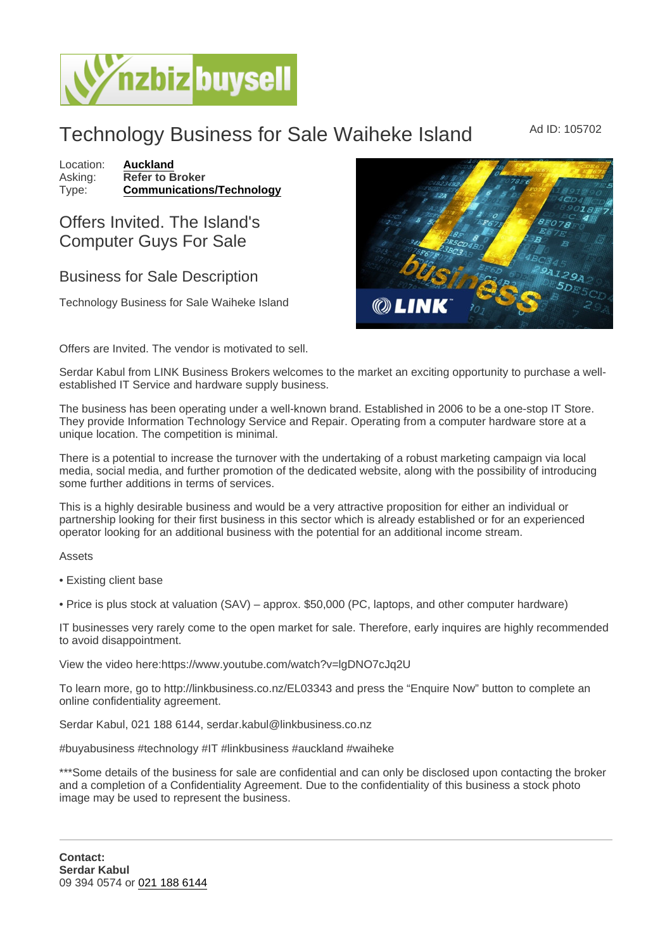## Technology Business for Sale Waiheke Island Ad ID: 105702

Location: [Auckland](https://www.nzbizbuysell.co.nz/businesses-for-sale/location/Auckland) Asking: Refer to Broker<br>Type: Communication [Communications/Technology](https://www.nzbizbuysell.co.nz/businesses-for-sale/Communications--Technology/New-Zealand)

## Offers Invited. The Island's Computer Guys For Sale

## Business for Sale Description

Technology Business for Sale Waiheke Island

Offers are Invited. The vendor is motivated to sell.

Serdar Kabul from LINK Business Brokers welcomes to the market an exciting opportunity to purchase a wellestablished IT Service and hardware supply business.

The business has been operating under a well-known brand. Established in 2006 to be a one-stop IT Store. They provide Information Technology Service and Repair. Operating from a computer hardware store at a unique location. The competition is minimal.

There is a potential to increase the turnover with the undertaking of a robust marketing campaign via local media, social media, and further promotion of the dedicated website, along with the possibility of introducing some further additions in terms of services.

This is a highly desirable business and would be a very attractive proposition for either an individual or partnership looking for their first business in this sector which is already established or for an experienced operator looking for an additional business with the potential for an additional income stream.

Assets

• Existing client base

• Price is plus stock at valuation (SAV) – approx. \$50,000 (PC, laptops, and other computer hardware)

IT businesses very rarely come to the open market for sale. Therefore, early inquires are highly recommended to avoid disappointment.

View the video here:https://www.youtube.com/watch?v=lgDNO7cJq2U

To learn more, go to http://linkbusiness.co.nz/EL03343 and press the "Enquire Now" button to complete an online confidentiality agreement.

Serdar Kabul, 021 188 6144, serdar.kabul@linkbusiness.co.nz

#buyabusiness #technology #IT #linkbusiness #auckland #waiheke

\*\*\*Some details of the business for sale are confidential and can only be disclosed upon contacting the broker and a completion of a Confidentiality Agreement. Due to the confidentiality of this business a stock photo image may be used to represent the business.